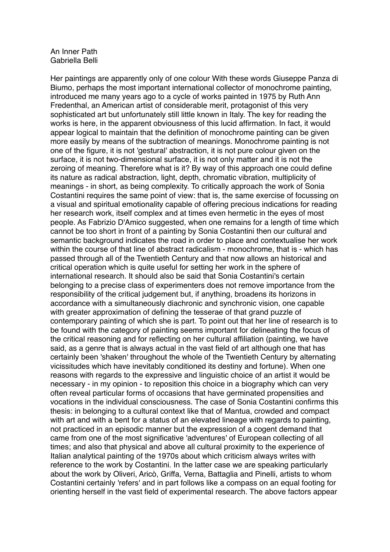## An Inner Path Gabriella Belli

Her paintings are apparently only of one colour With these words Giuseppe Panza di Biumo, perhaps the most important international collector of monochrome painting, introduced me many years ago to a cycle of works painted in 1975 by Ruth Ann Fredenthal, an American artist of considerable merit, protagonist of this very sophisticated art but unfortunately still little known in Italy. The key for reading the works is here, in the apparent obviousness of this lucid affirmation. In fact, it would appear logical to maintain that the definition of monochrome painting can be given more easily by means of the subtraction of meanings. Monochrome painting is not one of the figure, it is not 'gestural' abstraction, it is not pure colour given on the surface, it is not two-dimensional surface, it is not only matter and it is not the zeroing of meaning. Therefore what is it? By way of this approach one could define its nature as radical abstraction, light, depth, chromatic vibration, multiplicity of meanings - in short, as being complexity. To critically approach the work of Sonia Costantini requires the same point of view: that is, the same exercise of focussing on a visual and spiritual emotionality capable of offering precious indications for reading her research work, itself complex and at times even hermetic in the eyes of most people. As Fabrizio D'Amico suggested, when one remains for a length of time which cannot be too short in front of a painting by Sonia Costantini then our cultural and semantic background indicates the road in order to place and contextualise her work within the course of that line of abstract radicalism - monochrome, that is - which has passed through all of the Twentieth Century and that now allows an historical and critical operation which is quite useful for setting her work in the sphere of international research. It should also be said that Sonia Costantini's certain belonging to a precise class of experimenters does not remove importance from the responsibility of the critical judgement but, if anything, broadens its horizons in accordance with a simultaneously diachronic and synchronic vision, one capable with greater approximation of defining the tesserae of that grand puzzle of contemporary painting of which she is part. To point out that her line of research is to be found with the category of painting seems important for delineating the focus of the critical reasoning and for reflecting on her cultural affiliation (painting, we have said, as a genre that is always actual in the vast field of art although one that has certainly been 'shaken' throughout the whole of the Twentieth Century by alternating vicissitudes which have inevitably conditioned its destiny and fortune). When one reasons with regards to the expressive and linguistic choice of an artist it would be necessary - in my opinion - to reposition this choice in a biography which can very often reveal particular forms of occasions that have germinated propensities and vocations in the individual consciousness. The case of Sonia Costantini confirms this thesis: in belonging to a cultural context like that of Mantua, crowded and compact with art and with a bent for a status of an elevated lineage with regards to painting, not practiced in an episodic manner but the expression of a cogent demand that came from one of the most significative 'adventures' of European collecting of all times; and also that physical and above all cultural proximity to the experience of Italian analytical painting of the 1970s about which criticism always writes with reference to the work by Costantini. In the latter case we are speaking particularly about the work by Oliveri, Aricò, Griffa, Verna, Battaglia and Pinelli, artists to whom Costantini certainly 'refers' and in part follows like a compass on an equal footing for orienting herself in the vast field of experimental research. The above factors appear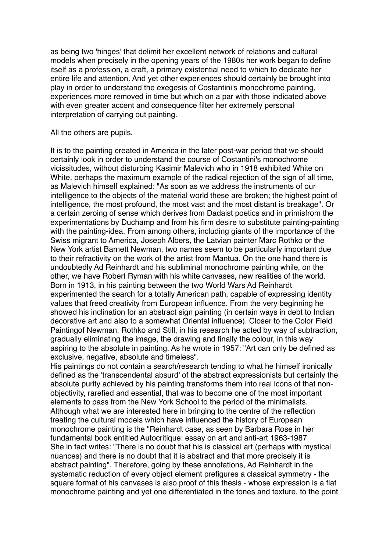as being two 'hinges' that delimit her excellent network of relations and cultural models when precisely in the opening years of the 1980s her work began to define itself as a profession, a craft, a primary existential need to which to dedicate her entire life and attention. And yet other experiences should certainly be brought into play in order to understand the exegesis of Costantini's monochrome painting, experiences more removed in time but which on a par with those indicated above with even greater accent and consequence filter her extremely personal interpretation of carrying out painting.

All the others are pupils.

It is to the painting created in America in the later post-war period that we should certainly look in order to understand the course of Costantini's monochrome vicissitudes, without disturbing Kasimir Malevich who in 1918 exhibited White on White, perhaps the maximum example of the radical rejection of the sign of all time, as Malevich himself explained: "As soon as we address the instruments of our intelligence to the objects of the material world these are broken; the highest point of intelligence, the most profound, the most vast and the most distant is breakage". Or a certain zeroing of sense which derives from Dadaist poetics and in primisfrom the experimentations by Duchamp and from his firm desire to substitute painting-painting with the painting-idea. From among others, including giants of the importance of the Swiss migrant to America, Joseph Albers, the Latvian painter Marc Rothko or the New York artist Barnett Newman, two names seem to be particularly important due to their refractivity on the work of the artist from Mantua. On the one hand there is undoubtedly Ad Reinhardt and his subliminal monochrome painting while, on the other, we have Robert Ryman with his white canvases, new realities of the world. Born in 1913, in his painting between the two World Wars Ad Reinhardt experimented the search for a totally American path, capable of expressing identity values that freed creativity from European influence. From the very beginning he showed his inclination for an abstract sign painting (in certain ways in debt to Indian decorative art and also to a somewhat Oriental influence). Closer to the Color Field Paintingof Newman, Rothko and Still, in his research he acted by way of subtraction, gradually eliminating the image, the drawing and finally the colour, in this way aspiring to the absolute in painting. As he wrote in 1957: "Art can only be defined as exclusive, negative, absolute and timeless".

His paintings do not contain a search/research tending to what he himself ironically defined as the 'transcendental absurd' of the abstract expressionists but certainly the absolute purity achieved by his painting transforms them into real icons of that nonobjectivity, rarefied and essential, that was to become one of the most important elements to pass from the New York School to the period of the minimalists. Although what we are interested here in bringing to the centre of the reflection treating the cultural models which have influenced the history of European monochrome painting is the "Reinhardt case, as seen by Barbara Rose in her fundamental book entitled Autocritique: essay on art and anti-art 1963-1987 She in fact writes: "There is no doubt that his is classical art (perhaps with mystical nuances) and there is no doubt that it is abstract and that more precisely it is abstract painting". Therefore, going by these annotations, Ad Reinhardt in the systematic reduction of every object element prefigures a classical symmetry - the square format of his canvases is also proof of this thesis - whose expression is a flat monochrome painting and yet one differentiated in the tones and texture, to the point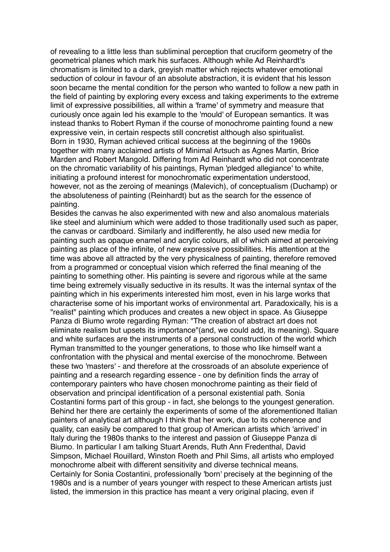of revealing to a little less than subliminal perception that cruciform geometry of the geometrical planes which mark his surfaces. Although while Ad Reinhardt's chromatism is limited to a dark, greyish matter which rejects whatever emotional seduction of colour in favour of an absolute abstraction, it is evident that his lesson soon became the mental condition for the person who wanted to follow a new path in the field of painting by exploring every excess and taking experiments to the extreme limit of expressive possibilities, all within a 'frame' of symmetry and measure that curiously once again led his example to the 'mould' of European semantics. It was instead thanks to Robert Ryman if the course of monochrome painting found a new expressive vein, in certain respects still concretist although also spiritualist. Born in 1930, Ryman achieved critical success at the beginning of the 1960s together with many acclaimed artists of Minimal Artsuch as Agnes Martin, Brice Marden and Robert Mangold. Differing from Ad Reinhardt who did not concentrate on the chromatic variability of his paintings, Ryman 'pledged allegiance' to white, initiating a profound interest for monochromatic experimentation understood, however, not as the zeroing of meanings (Malevich), of conceptualism (Duchamp) or the absoluteness of painting (Reinhardt) but as the search for the essence of painting.

Besides the canvas he also experimented with new and also anomalous materials like steel and aluminium which were added to those traditionally used such as paper, the canvas or cardboard. Similarly and indifferently, he also used new media for painting such as opaque enamel and acrylic colours, all of which aimed at perceiving painting as place of the infinite, of new expressive possibilities. His attention at the time was above all attracted by the very physicalness of painting, therefore removed from a programmed or conceptual vision which referred the final meaning of the painting to something other. His painting is severe and rigorous while at the same time being extremely visually seductive in its results. It was the internal syntax of the painting which in his experiments interested him most, even in his large works that characterise some of his important works of environmental art. Paradoxically, his is a "realist" painting which produces and creates a new object in space. As Giuseppe Panza di Biumo wrote regarding Ryman: "The creation of abstract art does not eliminate realism but upsets its importance"(and, we could add, its meaning). Square and white surfaces are the instruments of a personal construction of the world which Ryman transmitted to the younger generations, to those who like himself want a confrontation with the physical and mental exercise of the monochrome. Between these two 'masters' - and therefore at the crossroads of an absolute experience of painting and a research regarding essence - one by definition finds the array of contemporary painters who have chosen monochrome painting as their field of observation and principal identification of a personal existential path. Sonia Costantini forms part of this group - in fact, she belongs to the youngest generation. Behind her there are certainly the experiments of some of the aforementioned Italian painters of analytical art although I think that her work, due to its coherence and quality, can easily be compared to that group of American artists which 'arrived' in Italy during the 1980s thanks to the interest and passion of Giuseppe Panza di Biumo. In particular I am talking Stuart Arends, Ruth Ann Fredenthal, David Simpson, Michael Rouillard, Winston Roeth and Phil Sims, all artists who employed monochrome albeit with different sensitivity and diverse technical means. Certainly for Sonia Costantini, professionally 'born' precisely at the beginning of the 1980s and is a number of years younger with respect to these American artists just listed, the immersion in this practice has meant a very original placing, even if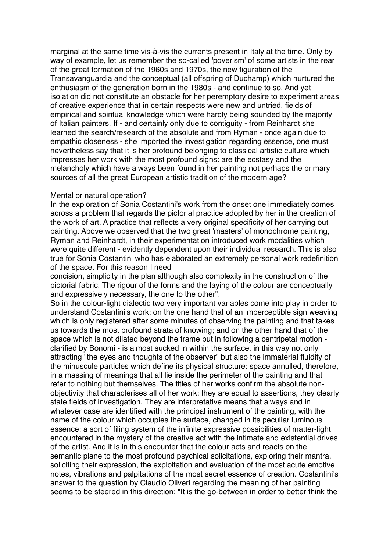marginal at the same time vis-à-vis the currents present in Italy at the time. Only by way of example, let us remember the so-called 'poverism' of some artists in the rear of the great formation of the 1960s and 1970s, the new figuration of the Transavanguardia and the conceptual (all offspring of Duchamp) which nurtured the enthusiasm of the generation born in the 1980s - and continue to so. And yet isolation did not constitute an obstacle for her peremptory desire to experiment areas of creative experience that in certain respects were new and untried, fields of empirical and spiritual knowledge which were hardly being sounded by the majority of Italian painters. If - and certainly only due to contiguity - from Reinhardt she learned the search/research of the absolute and from Ryman - once again due to empathic closeness - she imported the investigation regarding essence, one must nevertheless say that it is her profound belonging to classical artistic culture which impresses her work with the most profound signs: are the ecstasy and the melancholy which have always been found in her painting not perhaps the primary sources of all the great European artistic tradition of the modern age?

## Mental or natural operation?

In the exploration of Sonia Costantini's work from the onset one immediately comes across a problem that regards the pictorial practice adopted by her in the creation of the work of art. A practice that reflects a very original specificity of her carrying out painting. Above we observed that the two great 'masters' of monochrome painting, Ryman and Reinhardt, in their experimentation introduced work modalities which were quite different - evidently dependent upon their individual research. This is also true for Sonia Costantini who has elaborated an extremely personal work redefinition of the space. For this reason I need

concision, simplicity in the plan although also complexity in the construction of the pictorial fabric. The rigour of the forms and the laying of the colour are conceptually and expressively necessary, the one to the other".

So in the colour-light dialectic two very important variables come into play in order to understand Costantini's work: on the one hand that of an imperceptible sign weaving which is only registered after some minutes of observing the painting and that takes us towards the most profound strata of knowing; and on the other hand that of the space which is not dilated beyond the frame but in following a centripetal motion clarified by Bonomi - is almost sucked in within the surface, in this way not only attracting "the eyes and thoughts of the observer" but also the immaterial fluidity of the minuscule particles which define its physical structure: space annulled, therefore, in a massing of meanings that all lie inside the perimeter of the painting and that refer to nothing but themselves. The titles of her works confirm the absolute nonobjectivity that characterises all of her work: they are equal to assertions, they clearly state fields of investigation. They are interpretative means that always and in whatever case are identified with the principal instrument of the painting, with the name of the colour which occupies the surface, changed in its peculiar luminous essence: a sort of filing system of the infinite expressive possibilities of matter-light encountered in the mystery of the creative act with the intimate and existential drives of the artist. And it is in this encounter that the colour acts and reacts on the semantic plane to the most profound psychical solicitations, exploring their mantra, soliciting their expression, the exploitation and evaluation of the most acute emotive notes, vibrations and palpitations of the most secret essence of creation. Costantini's answer to the question by Claudio Oliveri regarding the meaning of her painting seems to be steered in this direction: "It is the go-between in order to better think the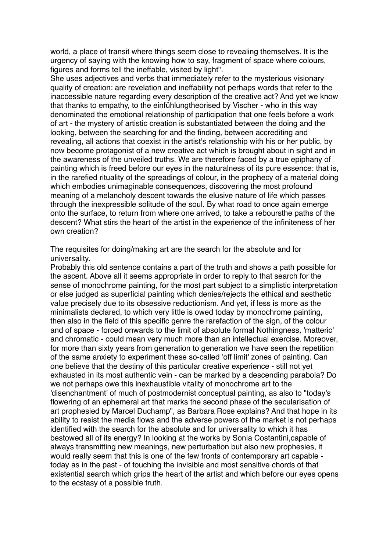world, a place of transit where things seem close to revealing themselves. It is the urgency of saying with the knowing how to say, fragment of space where colours, figures and forms tell the ineffable, visited by light".

She uses adjectives and verbs that immediately refer to the mysterious visionary quality of creation: are revelation and ineffability not perhaps words that refer to the inaccessible nature regarding every description of the creative act? And yet we know that thanks to empathy, to the einfühlungtheorised by Vischer - who in this way denominated the emotional relationship of participation that one feels before a work of art - the mystery of artistic creation is substantiated between the doing and the looking, between the searching for and the finding, between accrediting and revealing, all actions that coexist in the artist's relationship with his or her public, by now become protagonist of a new creative act which is brought about in sight and in the awareness of the unveiled truths. We are therefore faced by a true epiphany of painting which is freed before our eyes in the naturalness of its pure essence: that is, in the rarefied rituality of the spreadings of colour, in the prophecy of a material doing which embodies unimaginable consequences, discovering the most profound meaning of a melancholy descent towards the elusive nature of life which passes through the inexpressible solitude of the soul. By what road to once again emerge onto the surface, to return from where one arrived, to take a reboursthe paths of the descent? What stirs the heart of the artist in the experience of the infiniteness of her own creation?

The requisites for doing/making art are the search for the absolute and for universality.

Probably this old sentence contains a part of the truth and shows a path possible for the ascent. Above all it seems appropriate in order to reply to that search for the sense of monochrome painting, for the most part subject to a simplistic interpretation or else judged as superficial painting which denies/rejects the ethical and aesthetic value precisely due to its obsessive reductionism. And yet, if less is more as the minimalists declared, to which very little is owed today by monochrome painting, then also in the field of this specific genre the rarefaction of the sign, of the colour and of space - forced onwards to the limit of absolute formal Nothingness, 'matteric' and chromatic - could mean very much more than an intellectual exercise. Moreover, for more than sixty years from generation to generation we have seen the repetition of the same anxiety to experiment these so-called 'off limit' zones of painting. Can one believe that the destiny of this particular creative experience - still not yet exhausted in its most authentic vein - can be marked by a descending parabola? Do we not perhaps owe this inexhaustible vitality of monochrome art to the 'disenchantment' of much of postmodernist conceptual painting, as also to "today's flowering of an ephemeral art that marks the second phase of the secularisation of art prophesied by Marcel Duchamp", as Barbara Rose explains? And that hope in its ability to resist the media flows and the adverse powers of the market is not perhaps identified with the search for the absolute and for universality to which it has bestowed all of its energy? In looking at the works by Sonia Costantini,capable of always transmitting new meanings, new perturbation but also new prophesies, it would really seem that this is one of the few fronts of contemporary art capable today as in the past - of touching the invisible and most sensitive chords of that existential search which grips the heart of the artist and which before our eyes opens to the ecstasy of a possible truth.